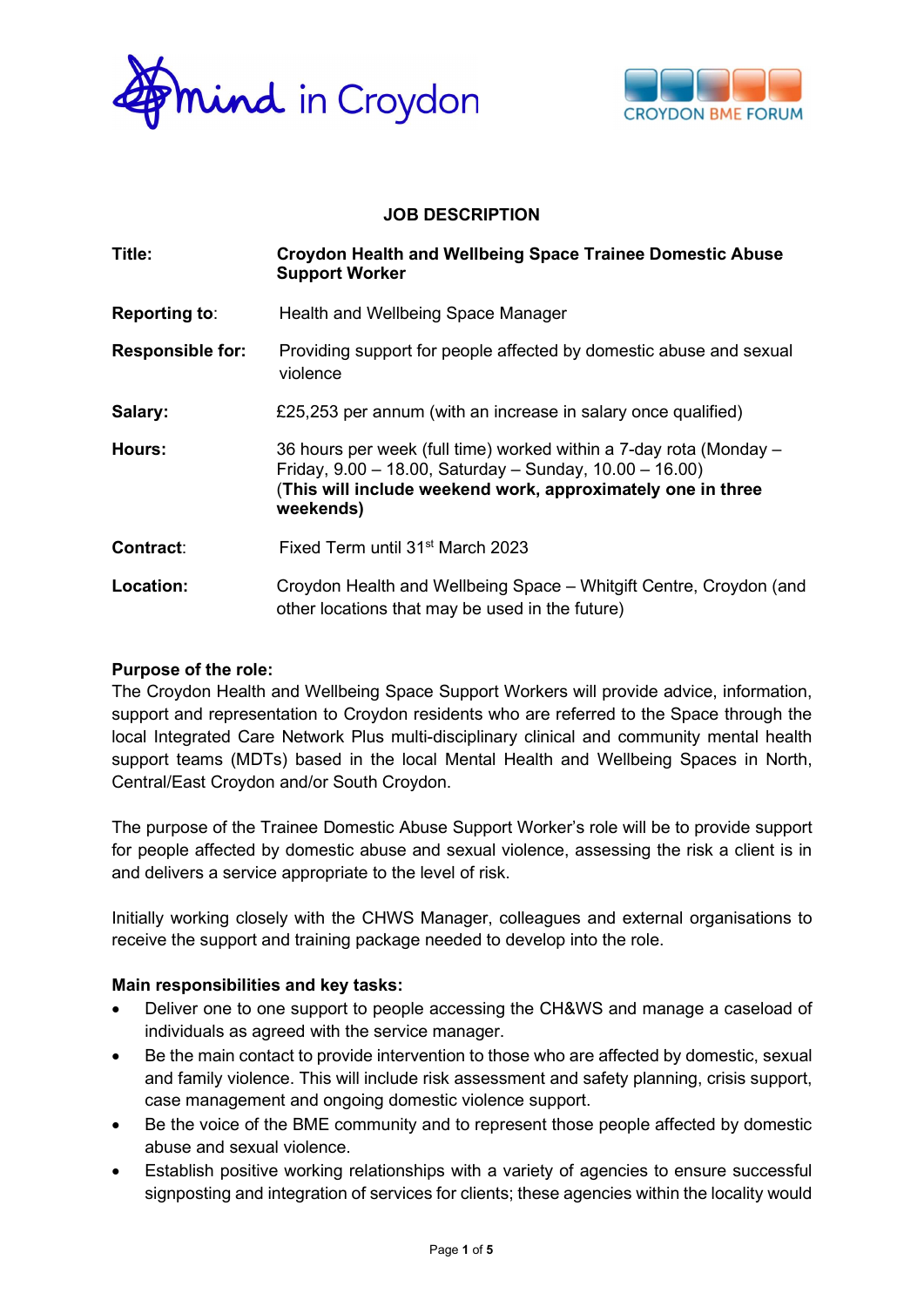



## JOB DESCRIPTION

| Title:                  | <b>Croydon Health and Wellbeing Space Trainee Domestic Abuse</b><br><b>Support Worker</b>                                                                                                                       |  |
|-------------------------|-----------------------------------------------------------------------------------------------------------------------------------------------------------------------------------------------------------------|--|
| <b>Reporting to:</b>    | Health and Wellbeing Space Manager                                                                                                                                                                              |  |
| <b>Responsible for:</b> | Providing support for people affected by domestic abuse and sexual<br>violence                                                                                                                                  |  |
| Salary:                 | £25,253 per annum (with an increase in salary once qualified)                                                                                                                                                   |  |
| Hours:                  | 36 hours per week (full time) worked within a 7-day rota (Monday –<br>Friday, $9.00 - 18.00$ , Saturday - Sunday, $10.00 - 16.00$ )<br>(This will include weekend work, approximately one in three<br>weekends) |  |
| <b>Contract:</b>        | Fixed Term until 31 <sup>st</sup> March 2023                                                                                                                                                                    |  |
| Location:               | Croydon Health and Wellbeing Space - Whitgift Centre, Croydon (and<br>other locations that may be used in the future)                                                                                           |  |

## Purpose of the role:

The Croydon Health and Wellbeing Space Support Workers will provide advice, information, support and representation to Croydon residents who are referred to the Space through the local Integrated Care Network Plus multi-disciplinary clinical and community mental health support teams (MDTs) based in the local Mental Health and Wellbeing Spaces in North, Central/East Croydon and/or South Croydon.

The purpose of the Trainee Domestic Abuse Support Worker's role will be to provide support for people affected by domestic abuse and sexual violence, assessing the risk a client is in and delivers a service appropriate to the level of risk.

Initially working closely with the CHWS Manager, colleagues and external organisations to receive the support and training package needed to develop into the role.

## Main responsibilities and key tasks:

- Deliver one to one support to people accessing the CH&WS and manage a caseload of individuals as agreed with the service manager.
- Be the main contact to provide intervention to those who are affected by domestic, sexual and family violence. This will include risk assessment and safety planning, crisis support, case management and ongoing domestic violence support.
- Be the voice of the BME community and to represent those people affected by domestic abuse and sexual violence.
- Establish positive working relationships with a variety of agencies to ensure successful signposting and integration of services for clients; these agencies within the locality would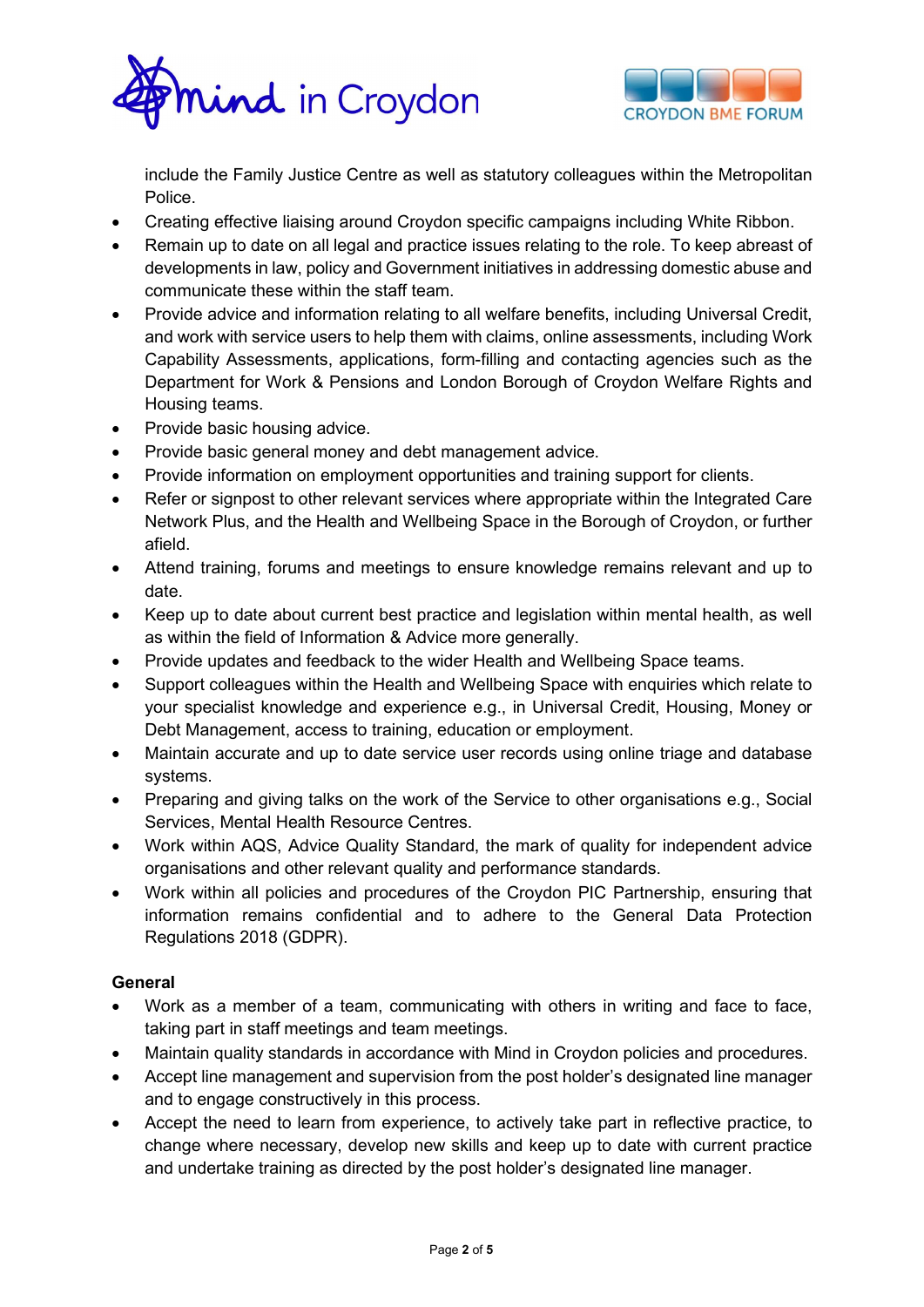



include the Family Justice Centre as well as statutory colleagues within the Metropolitan Police.

- Creating effective liaising around Croydon specific campaigns including White Ribbon.
- Remain up to date on all legal and practice issues relating to the role. To keep abreast of developments in law, policy and Government initiatives in addressing domestic abuse and communicate these within the staff team.
- Provide advice and information relating to all welfare benefits, including Universal Credit, and work with service users to help them with claims, online assessments, including Work Capability Assessments, applications, form-filling and contacting agencies such as the Department for Work & Pensions and London Borough of Croydon Welfare Rights and Housing teams.
- Provide basic housing advice.
- Provide basic general money and debt management advice.
- Provide information on employment opportunities and training support for clients.
- Refer or signpost to other relevant services where appropriate within the Integrated Care Network Plus, and the Health and Wellbeing Space in the Borough of Croydon, or further afield.
- Attend training, forums and meetings to ensure knowledge remains relevant and up to date.
- Keep up to date about current best practice and legislation within mental health, as well as within the field of Information & Advice more generally.
- Provide updates and feedback to the wider Health and Wellbeing Space teams.
- Support colleagues within the Health and Wellbeing Space with enquiries which relate to your specialist knowledge and experience e.g., in Universal Credit, Housing, Money or Debt Management, access to training, education or employment.
- Maintain accurate and up to date service user records using online triage and database systems.
- Preparing and giving talks on the work of the Service to other organisations e.g., Social Services, Mental Health Resource Centres.
- Work within AQS, Advice Quality Standard, the mark of quality for independent advice organisations and other relevant quality and performance standards.
- Work within all policies and procedures of the Croydon PIC Partnership, ensuring that information remains confidential and to adhere to the General Data Protection Regulations 2018 (GDPR).

## **General**

- Work as a member of a team, communicating with others in writing and face to face, taking part in staff meetings and team meetings.
- Maintain quality standards in accordance with Mind in Croydon policies and procedures.
- Accept line management and supervision from the post holder's designated line manager and to engage constructively in this process.
- Accept the need to learn from experience, to actively take part in reflective practice, to change where necessary, develop new skills and keep up to date with current practice and undertake training as directed by the post holder's designated line manager.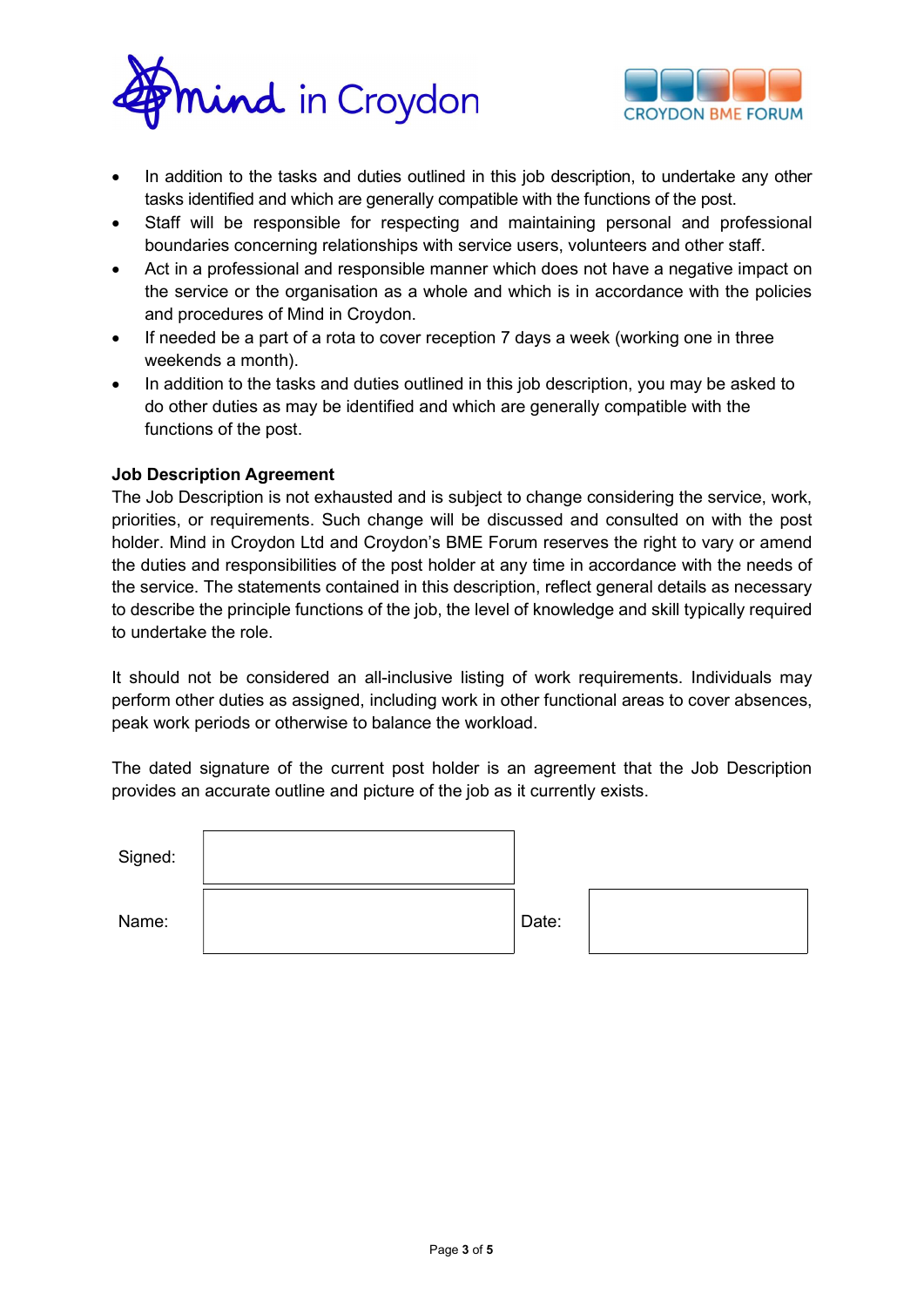



- In addition to the tasks and duties outlined in this job description, to undertake any other tasks identified and which are generally compatible with the functions of the post.
- Staff will be responsible for respecting and maintaining personal and professional boundaries concerning relationships with service users, volunteers and other staff.
- Act in a professional and responsible manner which does not have a negative impact on the service or the organisation as a whole and which is in accordance with the policies and procedures of Mind in Croydon.
- If needed be a part of a rota to cover reception 7 days a week (working one in three weekends a month).
- In addition to the tasks and duties outlined in this job description, you may be asked to do other duties as may be identified and which are generally compatible with the functions of the post.

## Job Description Agreement

The Job Description is not exhausted and is subject to change considering the service, work, priorities, or requirements. Such change will be discussed and consulted on with the post holder. Mind in Croydon Ltd and Croydon's BME Forum reserves the right to vary or amend the duties and responsibilities of the post holder at any time in accordance with the needs of the service. The statements contained in this description, reflect general details as necessary to describe the principle functions of the job, the level of knowledge and skill typically required to undertake the role.

It should not be considered an all-inclusive listing of work requirements. Individuals may perform other duties as assigned, including work in other functional areas to cover absences, peak work periods or otherwise to balance the workload.

The dated signature of the current post holder is an agreement that the Job Description provides an accurate outline and picture of the job as it currently exists.

| Signed: |       |  |
|---------|-------|--|
| Name:   | Date: |  |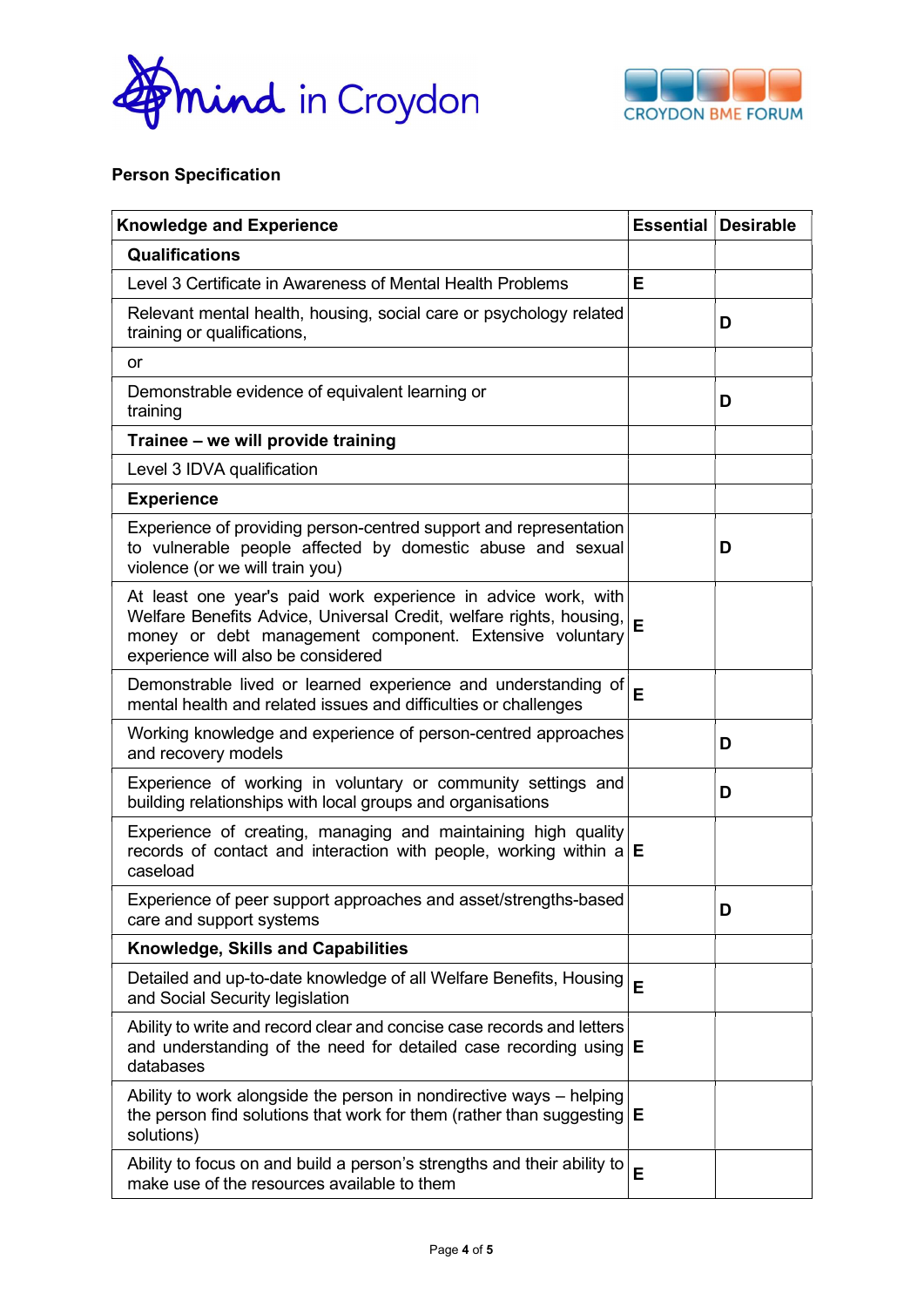



# Person Specification

| <b>Knowledge and Experience</b>                                                                                                                                                                                                       |   | <b>Essential Desirable</b> |
|---------------------------------------------------------------------------------------------------------------------------------------------------------------------------------------------------------------------------------------|---|----------------------------|
| <b>Qualifications</b>                                                                                                                                                                                                                 |   |                            |
| Level 3 Certificate in Awareness of Mental Health Problems                                                                                                                                                                            | E |                            |
| Relevant mental health, housing, social care or psychology related<br>training or qualifications,                                                                                                                                     |   | D                          |
| <b>or</b>                                                                                                                                                                                                                             |   |                            |
| Demonstrable evidence of equivalent learning or<br>training                                                                                                                                                                           |   | D                          |
| Trainee - we will provide training                                                                                                                                                                                                    |   |                            |
| Level 3 IDVA qualification                                                                                                                                                                                                            |   |                            |
| <b>Experience</b>                                                                                                                                                                                                                     |   |                            |
| Experience of providing person-centred support and representation<br>to vulnerable people affected by domestic abuse and sexual<br>violence (or we will train you)                                                                    |   | D                          |
| At least one year's paid work experience in advice work, with<br>Welfare Benefits Advice, Universal Credit, welfare rights, housing,<br>money or debt management component. Extensive voluntary<br>experience will also be considered | E |                            |
| Demonstrable lived or learned experience and understanding of<br>mental health and related issues and difficulties or challenges                                                                                                      | E |                            |
| Working knowledge and experience of person-centred approaches<br>and recovery models                                                                                                                                                  |   | D                          |
| Experience of working in voluntary or community settings and<br>building relationships with local groups and organisations                                                                                                            |   | D                          |
| Experience of creating, managing and maintaining high quality<br>records of contact and interaction with people, working within $a \, \mathbf{E}$<br>caseload                                                                         |   |                            |
| Experience of peer support approaches and asset/strengths-based<br>care and support systems                                                                                                                                           |   | D                          |
| Knowledge, Skills and Capabilities                                                                                                                                                                                                    |   |                            |
| Detailed and up-to-date knowledge of all Welfare Benefits, Housing<br>and Social Security legislation                                                                                                                                 | E |                            |
| Ability to write and record clear and concise case records and letters<br>and understanding of the need for detailed case recording using<br>databases                                                                                | Е |                            |
| Ability to work alongside the person in nondirective ways - helping<br>the person find solutions that work for them (rather than suggesting)<br>solutions)                                                                            | Е |                            |
| Ability to focus on and build a person's strengths and their ability to<br>make use of the resources available to them                                                                                                                | E |                            |